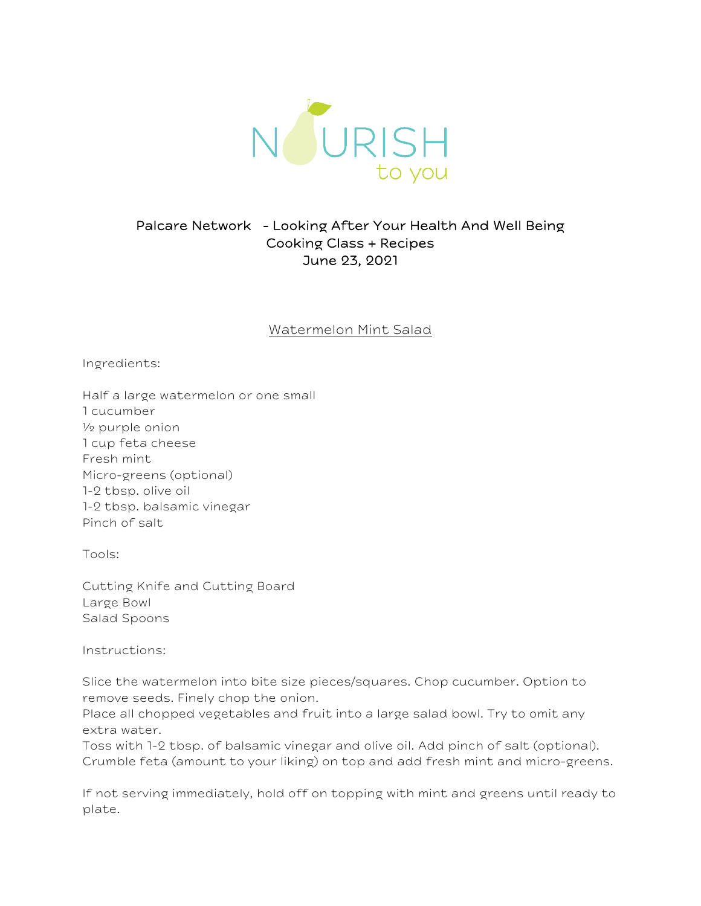

## Palcare Network - Looking After Your Health And Well Being Cooking Class + Recipes June 23, 2021

## Watermelon Mint Salad

Ingredients:

Half a large watermelon or one small 1 cucumber ½ purple onion 1 cup feta cheese Fresh mint Micro-greens (optional) 1-2 tbsp. olive oil 1-2 tbsp. balsamic vinegar Pinch of salt

Tools:

Cutting Knife and Cutting Board Large Bowl Salad Spoons

Instructions:

Slice the watermelon into bite size pieces/squares. Chop cucumber. Option to remove seeds. Finely chop the onion.

Place all chopped vegetables and fruit into a large salad bowl. Try to omit any extra water.

Toss with 1-2 tbsp. of balsamic vinegar and olive oil. Add pinch of salt (optional). Crumble feta (amount to your liking) on top and add fresh mint and micro-greens.

If not serving immediately, hold off on topping with mint and greens until ready to plate.